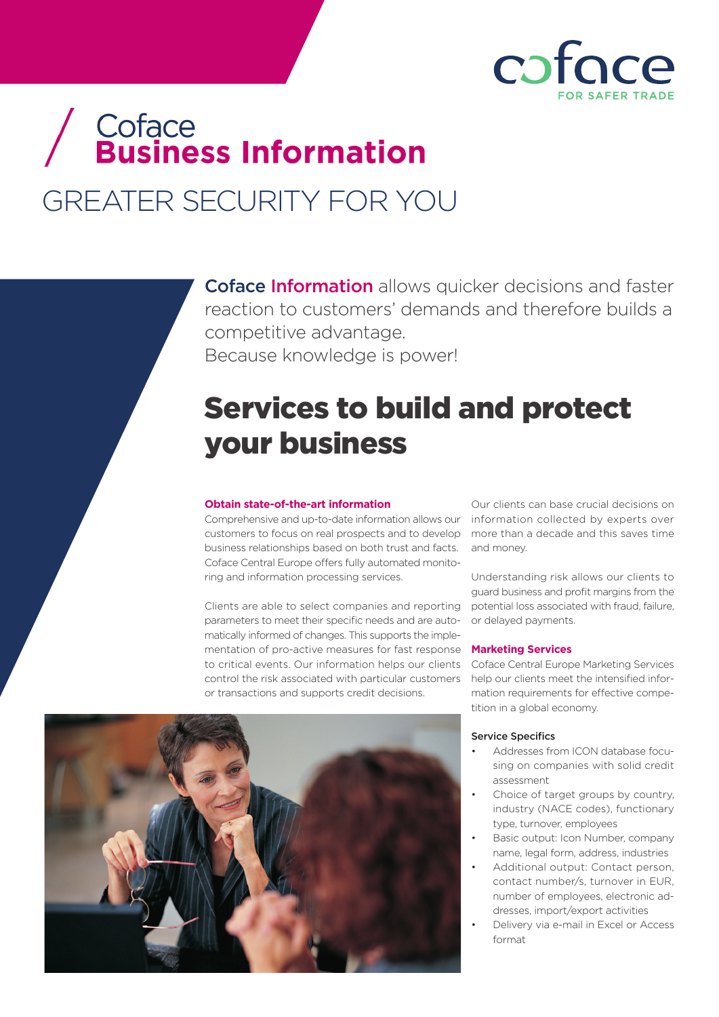

# / Coface<br>/ Business Information GREATER SECURITY FOR YOU

**Coface Information** allows quicker decisions and faster reaction to customers' demands and therefore builds a competitive advantage. Because knowledge is power!

## Services to build and protect your business

#### **Obtain state-of-the-art information**

Comprehensive and up-to-date information allows our information collected by experts over customers to focus on real prospects and to develop more than a decade and this saves time business relationships based on both trust and facts. Coface Central Europe offers fully automated monitoring and information processing services.

Clients are able to select companies and reporting parameters to meet their specific needs and are automatically informed of changes. This supports the implementation of pro-active measures for fast response to critical events. Our information helps our clients control the risk associated with particular customers or transactions and supports credit decisions.



Our clients can base crucial decisions on and money.

Understanding risk allows our clients to guard business and profit margins from the potential loss associated with fraud, failure, or delayed payments.

#### **Marketing Services**

Coface Central Europe Marketing Services help our clients meet the intensified information requirements for effective competition in a global economy.

#### Service Specifics

- Addresses from ICON database focusing on companies with solid credit assessment
- Choice of target groups by country, industry (NACE codes), functionary type, turnover, employees
- Basic output: Icon Number, company name, legal form, address, industries
- Additional output: Contact person, contact number/s, turnover in EUR, number of employees, electronic addresses, import/export activities
- Delivery via e-mail in Excel or Access format